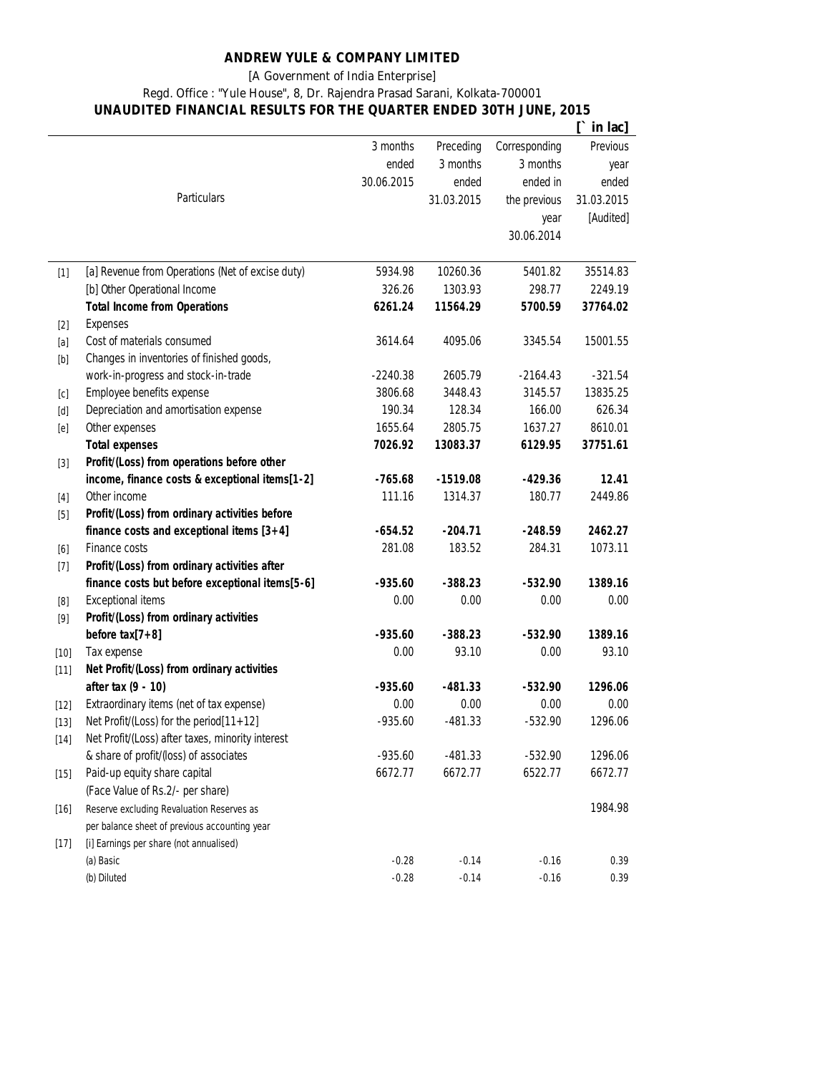## **ANDREW YULE & COMPANY LIMITED**

[A Government of India Enterprise]

Regd. Office : "Yule House", 8, Dr. Rajendra Prasad Sarani, Kolkata-700001

**UNAUDITED FINANCIAL RESULTS FOR THE QUARTER ENDED 30TH JUNE, 2015**

|                                                                                                                                                                                                                                                                                                                                                                                                                                                                                                                              |                                                  |            |            |               | in lac]    |
|------------------------------------------------------------------------------------------------------------------------------------------------------------------------------------------------------------------------------------------------------------------------------------------------------------------------------------------------------------------------------------------------------------------------------------------------------------------------------------------------------------------------------|--------------------------------------------------|------------|------------|---------------|------------|
|                                                                                                                                                                                                                                                                                                                                                                                                                                                                                                                              |                                                  | 3 months   | Preceding  | Corresponding | Previous   |
|                                                                                                                                                                                                                                                                                                                                                                                                                                                                                                                              |                                                  | ended      | 3 months   | 3 months      | year       |
|                                                                                                                                                                                                                                                                                                                                                                                                                                                                                                                              |                                                  | 30.06.2015 | ended      | ended in      | ended      |
|                                                                                                                                                                                                                                                                                                                                                                                                                                                                                                                              | <b>Particulars</b>                               |            | 31.03.2015 | the previous  | 31.03.2015 |
|                                                                                                                                                                                                                                                                                                                                                                                                                                                                                                                              |                                                  |            |            | year          | [Audited]  |
|                                                                                                                                                                                                                                                                                                                                                                                                                                                                                                                              |                                                  |            |            | 30.06.2014    |            |
|                                                                                                                                                                                                                                                                                                                                                                                                                                                                                                                              |                                                  |            |            |               |            |
| $[1]$                                                                                                                                                                                                                                                                                                                                                                                                                                                                                                                        | [a] Revenue from Operations (Net of excise duty) | 5934.98    | 10260.36   | 5401.82       | 35514.83   |
|                                                                                                                                                                                                                                                                                                                                                                                                                                                                                                                              | [b] Other Operational Income                     | 326.26     | 1303.93    | 298.77        | 2249.19    |
|                                                                                                                                                                                                                                                                                                                                                                                                                                                                                                                              | <b>Total Income from Operations</b>              | 6261.24    | 11564.29   | 5700.59       | 37764.02   |
| $[2]$                                                                                                                                                                                                                                                                                                                                                                                                                                                                                                                        | <b>Expenses</b>                                  |            |            |               |            |
| $[a] % \begin{center} % \includegraphics[width=\linewidth]{imagesSupplemental_3.png} % \end{center} % \caption { % \textit{DefNet} and \textit{DefNet}~\textit{DefNet}~\textit{DefNet}~\textit{DefNet}~\textit{DefNet}~\textit{DefNet}~\textit{DefNet}~\textit{DefNet}~\textit{DefNet}~\textit{DefNet}~\textit{DefNet}~\textit{DefNet}~\textit{DefNet}~\textit{DefNet}~\textit{DefNet}~\textit{DefNet}~\textit{DefNet}~\textit{DefNet}~\textit{DefNet}~\textit{DefNet}~\textit{DefNet}~\textit{DefNet}$                      | Cost of materials consumed                       | 3614.64    | 4095.06    | 3345.54       | 15001.55   |
| $[b] % \begin{center} % \includegraphics[width=\linewidth]{imagesSupplemental_3.png} % \end{center} % \caption { % \textit{DefNet} and { \textit{DefNet}~\textit{DefNet}~\textit{DefNet}~\textit{DefNet}~\textit{DefNet}~\textit{DefNet}~\textit{DefNet}~\textit{DefNet}~\textit{DefNet}~\textit{DefNet}~\textit{DefNet}~\textit{DefNet}~\textit{DefNet}~\textit{DefNet}~\textit{DefNet}~\textit{DefNet}~\textit{DefNet}~\textit{DefNet}~\textit{DefNet}~\textit{DefNet}~\textit{DefNet}~\textit{DefNet}$                    | Changes in inventories of finished goods,        |            |            |               |            |
|                                                                                                                                                                                                                                                                                                                                                                                                                                                                                                                              | work-in-progress and stock-in-trade              | $-2240.38$ | 2605.79    | $-2164.43$    | $-321.54$  |
| [c]                                                                                                                                                                                                                                                                                                                                                                                                                                                                                                                          | Employee benefits expense                        | 3806.68    | 3448.43    | 3145.57       | 13835.25   |
| $[d] % \begin{center} % \includegraphics[width=\linewidth]{imagesSupplemental_3.png} % \end{center} % \caption { % \textit{Def}_P = \textit{Def}_P \textit{Def}_P = \textit{Def}_P \textit{Def}_P = \textit{Def}_P \textit{Def}_P = \textit{Def}_P \textit{Def}_P = \textit{Def}_P \textit{Def}_P = \textit{Def}_P \textit{Def}_P = \textit{Def}_P \textit{Def}_P = \textit{Def}_P \textit{Def}_P = \textit{Def}_P \textit{Def}_P = \textit{Def}_P \textit{Def}_P = \textit{Def}_P \textit{Def}_P = \textit{Def}_P \textit{$ | Depreciation and amortisation expense            | 190.34     | 128.34     | 166.00        | 626.34     |
| [e]                                                                                                                                                                                                                                                                                                                                                                                                                                                                                                                          | Other expenses                                   | 1655.64    | 2805.75    | 1637.27       | 8610.01    |
|                                                                                                                                                                                                                                                                                                                                                                                                                                                                                                                              | <b>Total expenses</b>                            | 7026.92    | 13083.37   | 6129.95       | 37751.61   |
| $[3]$                                                                                                                                                                                                                                                                                                                                                                                                                                                                                                                        | Profit/(Loss) from operations before other       |            |            |               |            |
|                                                                                                                                                                                                                                                                                                                                                                                                                                                                                                                              | income, finance costs & exceptional items[1-2]   | $-765.68$  | $-1519.08$ | $-429.36$     | 12.41      |
| $[4]$                                                                                                                                                                                                                                                                                                                                                                                                                                                                                                                        | Other income                                     | 111.16     | 1314.37    | 180.77        | 2449.86    |
| $[5]$                                                                                                                                                                                                                                                                                                                                                                                                                                                                                                                        | Profit/(Loss) from ordinary activities before    |            |            |               |            |
|                                                                                                                                                                                                                                                                                                                                                                                                                                                                                                                              | finance costs and exceptional items $[3+4]$      | $-654.52$  | $-204.71$  | $-248.59$     | 2462.27    |
| [6]                                                                                                                                                                                                                                                                                                                                                                                                                                                                                                                          | Finance costs                                    | 281.08     | 183.52     | 284.31        | 1073.11    |
| $[7]$                                                                                                                                                                                                                                                                                                                                                                                                                                                                                                                        | Profit/(Loss) from ordinary activities after     |            |            |               |            |
|                                                                                                                                                                                                                                                                                                                                                                                                                                                                                                                              | finance costs but before exceptional items[5-6]  | $-935.60$  | $-388.23$  | $-532.90$     | 1389.16    |
| [8]                                                                                                                                                                                                                                                                                                                                                                                                                                                                                                                          | <b>Exceptional items</b>                         | 0.00       | 0.00       | 0.00          | 0.00       |
| $[9]$                                                                                                                                                                                                                                                                                                                                                                                                                                                                                                                        | Profit/(Loss) from ordinary activities           |            |            |               |            |
|                                                                                                                                                                                                                                                                                                                                                                                                                                                                                                                              | before $tax[7+8]$                                | $-935.60$  | $-388.23$  | $-532.90$     | 1389.16    |
| $[10]$                                                                                                                                                                                                                                                                                                                                                                                                                                                                                                                       | Tax expense                                      | 0.00       | 93.10      | 0.00          | 93.10      |
| $[11]$                                                                                                                                                                                                                                                                                                                                                                                                                                                                                                                       | Net Profit/(Loss) from ordinary activities       |            |            |               |            |
|                                                                                                                                                                                                                                                                                                                                                                                                                                                                                                                              | after tax (9 - 10)                               | $-935.60$  | $-481.33$  | $-532.90$     | 1296.06    |
| $[12]$                                                                                                                                                                                                                                                                                                                                                                                                                                                                                                                       | Extraordinary items (net of tax expense)         | 0.00       | 0.00       | $0.00\,$      | 0.00       |
| $[13]$                                                                                                                                                                                                                                                                                                                                                                                                                                                                                                                       | Net Profit/(Loss) for the period[11+12]          | $-935.60$  | $-481.33$  | $-532.90$     | 1296.06    |
| $[14]$                                                                                                                                                                                                                                                                                                                                                                                                                                                                                                                       | Net Profit/(Loss) after taxes, minority interest |            |            |               |            |
|                                                                                                                                                                                                                                                                                                                                                                                                                                                                                                                              | & share of profit/(loss) of associates           | $-935.60$  | $-481.33$  | $-532.90$     | 1296.06    |
| $[15]$                                                                                                                                                                                                                                                                                                                                                                                                                                                                                                                       | Paid-up equity share capital                     | 6672.77    | 6672.77    | 6522.77       | 6672.77    |
|                                                                                                                                                                                                                                                                                                                                                                                                                                                                                                                              | (Face Value of Rs.2/- per share)                 |            |            |               |            |
| $[16]$                                                                                                                                                                                                                                                                                                                                                                                                                                                                                                                       | Reserve excluding Revaluation Reserves as        |            |            |               | 1984.98    |
|                                                                                                                                                                                                                                                                                                                                                                                                                                                                                                                              | per balance sheet of previous accounting year    |            |            |               |            |
| $[17]$                                                                                                                                                                                                                                                                                                                                                                                                                                                                                                                       | [i] Earnings per share (not annualised)          |            |            |               |            |
|                                                                                                                                                                                                                                                                                                                                                                                                                                                                                                                              | (a) Basic                                        | $-0.28$    | $-0.14$    | $-0.16$       | 0.39       |
|                                                                                                                                                                                                                                                                                                                                                                                                                                                                                                                              | (b) Diluted                                      | $-0.28$    | $-0.14$    | $-0.16$       | 0.39       |